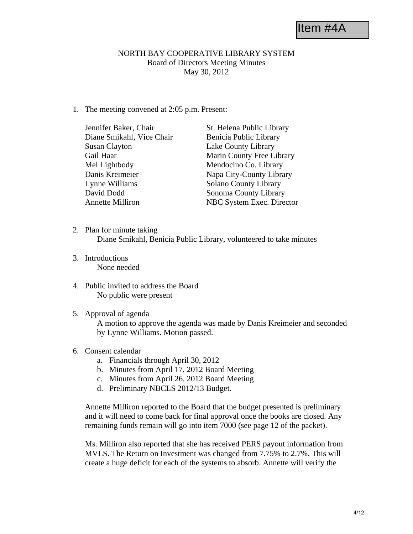Item #4A

## NORTH BAY COOPERATIVE LIBRARY SYSTEM Board of Directors Meeting Minutes May 30, 2012

1. The meeting convened at 2:05 p.m. Present:

| Jennifer Baker, Chair     | St. Helena Public Library    |
|---------------------------|------------------------------|
| Diane Smikahl, Vice Chair | Benicia Public Library       |
| <b>Susan Clayton</b>      | Lake County Library          |
| Gail Haar                 | Marin County Free Library    |
| Mel Lightbody             | Mendocino Co. Library        |
| Danis Kreimeier           | Napa City-County Library     |
| Lynne Williams            | <b>Solano County Library</b> |
| David Dodd                | Sonoma County Library        |
| <b>Annette Milliron</b>   | NBC System Exec. Director    |

- 2. Plan for minute taking Diane Smikahl, Benicia Public Library, volunteered to take minutes
- 3. Introductions None needed
- 4. Public invited to address the Board No public were present
- 5. Approval of agenda

A motion to approve the agenda was made by Danis Kreimeier and seconded by Lynne Williams. Motion passed.

## 6. Consent calendar

- a. Financials through April 30, 2012
- b. Minutes from April 17, 2012 Board Meeting
- c. Minutes from April 26, 2012 Board Meeting
- d. Preliminary NBCLS 2012/13 Budget.

Annette Milliron reported to the Board that the budget presented is preliminary and it will need to come back for final approval once the books are closed. Any remaining funds remain will go into item 7000 (see page 12 of the packet).

Ms. Milliron also reported that she has received PERS payout information from MVLS. The Return on Investment was changed from 7.75% to 2.7%. This will create a huge deficit for each of the systems to absorb. Annette will verify the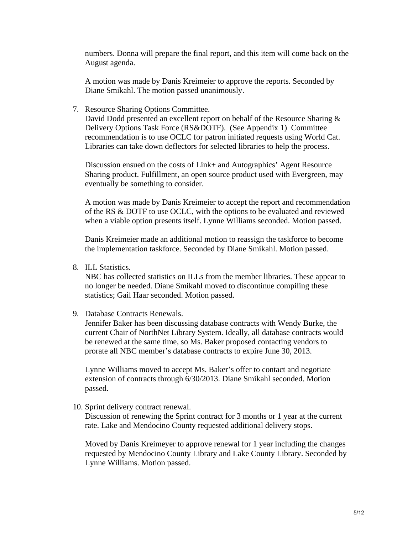numbers. Donna will prepare the final report, and this item will come back on the August agenda.

A motion was made by Danis Kreimeier to approve the reports. Seconded by Diane Smikahl. The motion passed unanimously.

7. Resource Sharing Options Committee.

David Dodd presented an excellent report on behalf of the Resource Sharing & Delivery Options Task Force (RS&DOTF). (See Appendix 1) Committee recommendation is to use OCLC for patron initiated requests using World Cat. Libraries can take down deflectors for selected libraries to help the process.

Discussion ensued on the costs of Link+ and Autographics' Agent Resource Sharing product. Fulfillment, an open source product used with Evergreen, may eventually be something to consider.

A motion was made by Danis Kreimeier to accept the report and recommendation of the RS & DOTF to use OCLC, with the options to be evaluated and reviewed when a viable option presents itself. Lynne Williams seconded. Motion passed.

Danis Kreimeier made an additional motion to reassign the taskforce to become the implementation taskforce. Seconded by Diane Smikahl. Motion passed.

8. ILL Statistics.

NBC has collected statistics on ILLs from the member libraries. These appear to no longer be needed. Diane Smikahl moved to discontinue compiling these statistics; Gail Haar seconded. Motion passed.

9. Database Contracts Renewals.

Jennifer Baker has been discussing database contracts with Wendy Burke, the current Chair of NorthNet Library System. Ideally, all database contracts would be renewed at the same time, so Ms. Baker proposed contacting vendors to prorate all NBC member's database contracts to expire June 30, 2013.

Lynne Williams moved to accept Ms. Baker's offer to contact and negotiate extension of contracts through 6/30/2013. Diane Smikahl seconded. Motion passed.

10. Sprint delivery contract renewal.

Discussion of renewing the Sprint contract for 3 months or 1 year at the current rate. Lake and Mendocino County requested additional delivery stops.

Moved by Danis Kreimeyer to approve renewal for 1 year including the changes requested by Mendocino County Library and Lake County Library. Seconded by Lynne Williams. Motion passed.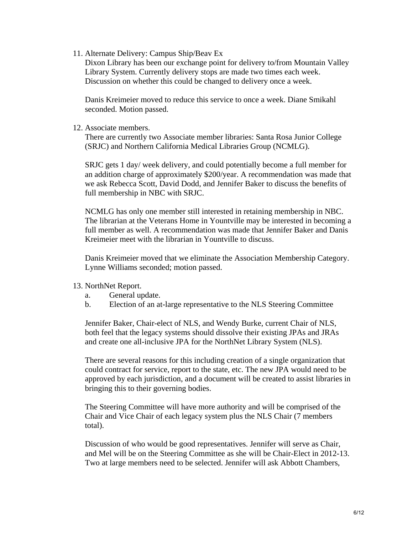11. Alternate Delivery: Campus Ship/Beav Ex

Dixon Library has been our exchange point for delivery to/from Mountain Valley Library System. Currently delivery stops are made two times each week. Discussion on whether this could be changed to delivery once a week.

Danis Kreimeier moved to reduce this service to once a week. Diane Smikahl seconded. Motion passed.

## 12. Associate members.

There are currently two Associate member libraries: Santa Rosa Junior College (SRJC) and Northern California Medical Libraries Group (NCMLG).

SRJC gets 1 day/ week delivery, and could potentially become a full member for an addition charge of approximately \$200/year. A recommendation was made that we ask Rebecca Scott, David Dodd, and Jennifer Baker to discuss the benefits of full membership in NBC with SRJC.

NCMLG has only one member still interested in retaining membership in NBC. The librarian at the Veterans Home in Yountville may be interested in becoming a full member as well. A recommendation was made that Jennifer Baker and Danis Kreimeier meet with the librarian in Yountville to discuss.

Danis Kreimeier moved that we eliminate the Association Membership Category. Lynne Williams seconded; motion passed.

## 13. NorthNet Report.

- a. General update.
- b. Election of an at-large representative to the NLS Steering Committee

Jennifer Baker, Chair-elect of NLS, and Wendy Burke, current Chair of NLS, both feel that the legacy systems should dissolve their existing JPAs and JRAs and create one all-inclusive JPA for the NorthNet Library System (NLS).

There are several reasons for this including creation of a single organization that could contract for service, report to the state, etc. The new JPA would need to be approved by each jurisdiction, and a document will be created to assist libraries in bringing this to their governing bodies.

The Steering Committee will have more authority and will be comprised of the Chair and Vice Chair of each legacy system plus the NLS Chair (7 members total).

Discussion of who would be good representatives. Jennifer will serve as Chair, and Mel will be on the Steering Committee as she will be Chair-Elect in 2012-13. Two at large members need to be selected. Jennifer will ask Abbott Chambers,